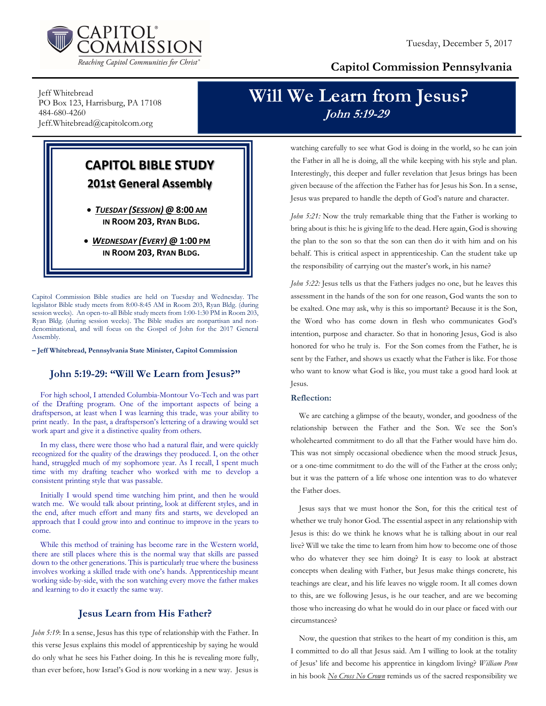

### Capitol Commission Pennsylvania

Jeff Whitebread PO Box 123, Harrisburg, PA 17108 484-680-4260 Jeff.Whitebread@capitolcom.org

## Will We Learn from Jesus? John 5:19-29

### CAPITOL BIBLE STUDY 201st General Assembly

 TUESDAY (SESSION) @ 8:00 AM IN ROOM 203, RYAN BLDG.

• WEDNESDAY (EVERY) @ 1:00 PM IN ROOM 203, RYAN BLDG.

Capitol Commission Bible studies are held on Tuesday and Wednesday. The legislator Bible study meets from 8:00-8:45 AM in Room 203, Ryan Bldg. (during session weeks). An open-to-all Bible study meets from 1:00-1:30 PM in Room 203, Ryan Bldg. (during session weeks). The Bible studies are nonpartisan and nondenominational, and will focus on the Gospel of John for the 2017 General Assembly.

– Jeff Whitebread, Pennsylvania State Minister, Capitol Commission

#### John 5:19-29: "Will We Learn from Jesus?"

For high school, I attended Columbia-Montour Vo-Tech and was part of the Drafting program. One of the important aspects of being a draftsperson, at least when I was learning this trade, was your ability to print neatly. In the past, a draftsperson's lettering of a drawing would set work apart and give it a distinctive quality from others.

In my class, there were those who had a natural flair, and were quickly recognized for the quality of the drawings they produced. I, on the other hand, struggled much of my sophomore year. As I recall, I spent much time with my drafting teacher who worked with me to develop a consistent printing style that was passable.

Initially I would spend time watching him print, and then he would watch me. We would talk about printing, look at different styles, and in the end, after much effort and many fits and starts, we developed an approach that I could grow into and continue to improve in the years to come.

While this method of training has become rare in the Western world, there are still places where this is the normal way that skills are passed down to the other generations. This is particularly true where the business involves working a skilled trade with one's hands. Apprenticeship meant working side-by-side, with the son watching every move the father makes and learning to do it exactly the same way.

#### Jesus Learn from His Father?

John 5:19: In a sense, Jesus has this type of relationship with the Father. In this verse Jesus explains this model of apprenticeship by saying he would do only what he sees his Father doing. In this he is revealing more fully, than ever before, how Israel's God is now working in a new way. Jesus is

watching carefully to see what God is doing in the world, so he can join the Father in all he is doing, all the while keeping with his style and plan. Interestingly, this deeper and fuller revelation that Jesus brings has been given because of the affection the Father has for Jesus his Son. In a sense, Jesus was prepared to handle the depth of God's nature and character.

John 5:21: Now the truly remarkable thing that the Father is working to bring about is this: he is giving life to the dead. Here again, God is showing the plan to the son so that the son can then do it with him and on his behalf. This is critical aspect in apprenticeship. Can the student take up the responsibility of carrying out the master's work, in his name?

John 5:22: Jesus tells us that the Fathers judges no one, but he leaves this assessment in the hands of the son for one reason, God wants the son to be exalted. One may ask, why is this so important? Because it is the Son, the Word who has come down in flesh who communicates God's intention, purpose and character. So that in honoring Jesus, God is also honored for who he truly is. For the Son comes from the Father, he is sent by the Father, and shows us exactly what the Father is like. For those who want to know what God is like, you must take a good hard look at Jesus.

#### Reflection:

We are catching a glimpse of the beauty, wonder, and goodness of the relationship between the Father and the Son. We see the Son's wholehearted commitment to do all that the Father would have him do. This was not simply occasional obedience when the mood struck Jesus, or a one-time commitment to do the will of the Father at the cross only; but it was the pattern of a life whose one intention was to do whatever the Father does.

Jesus says that we must honor the Son, for this the critical test of whether we truly honor God. The essential aspect in any relationship with Jesus is this: do we think he knows what he is talking about in our real live? Will we take the time to learn from him how to become one of those who do whatever they see him doing? It is easy to look at abstract concepts when dealing with Father, but Jesus make things concrete, his teachings are clear, and his life leaves no wiggle room. It all comes down to this, are we following Jesus, is he our teacher, and are we becoming those who increasing do what he would do in our place or faced with our circumstances?

Now, the question that strikes to the heart of my condition is this, am I committed to do all that Jesus said. Am I willing to look at the totality of Jesus' life and become his apprentice in kingdom living? William Penn in his book  $N_0$  Cross No Crown reminds us of the sacred responsibility we